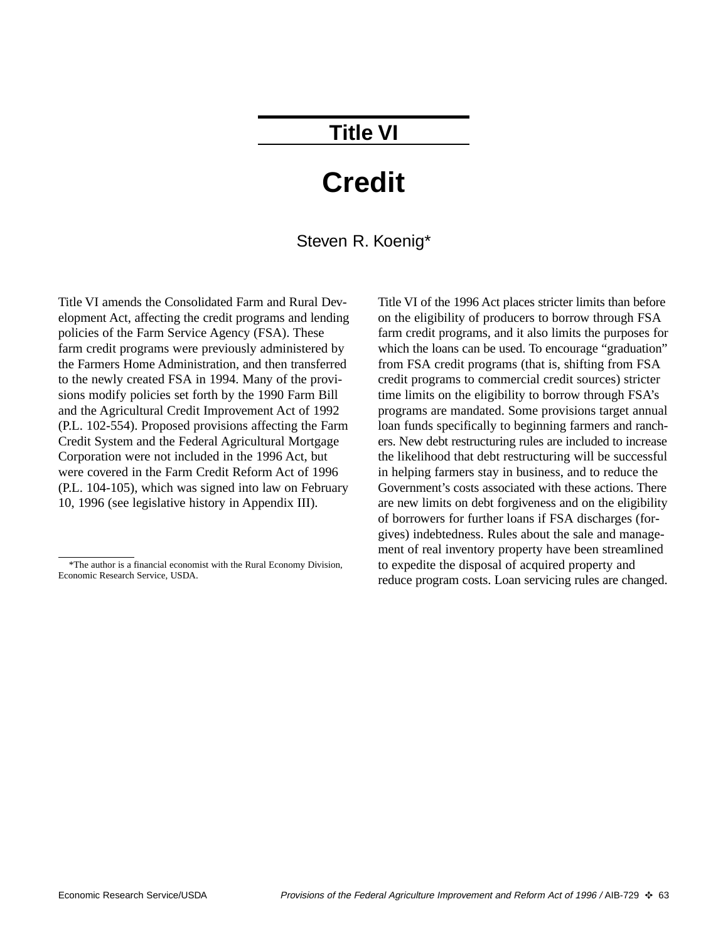### **Title VI**

## **Credit**

#### Steven R. Koenig\*

Title VI amends the Consolidated Farm and Rural Development Act, affecting the credit programs and lending policies of the Farm Service Agency (FSA). These farm credit programs were previously administered by the Farmers Home Administration, and then transferred to the newly created FSA in 1994. Many of the provisions modify policies set forth by the 1990 Farm Bill and the Agricultural Credit Improvement Act of 1992 (P.L. 102-554). Proposed provisions affecting the Farm Credit System and the Federal Agricultural Mortgage Corporation were not included in the 1996 Act, but were covered in the Farm Credit Reform Act of 1996 (P.L. 104-105), which was signed into law on February 10, 1996 (see legislative history in Appendix III).

Title VI of the 1996 Act places stricter limits than before on the eligibility of producers to borrow through FSA farm credit programs, and it also limits the purposes for which the loans can be used. To encourage "graduation" from FSA credit programs (that is, shifting from FSA credit programs to commercial credit sources) stricter time limits on the eligibility to borrow through FSA's programs are mandated. Some provisions target annual loan funds specifically to beginning farmers and ranchers. New debt restructuring rules are included to increase the likelihood that debt restructuring will be successful in helping farmers stay in business, and to reduce the Government's costs associated with these actions. There are new limits on debt forgiveness and on the eligibility of borrowers for further loans if FSA discharges (forgives) indebtedness. Rules about the sale and management of real inventory property have been streamlined to expedite the disposal of acquired property and reduce program costs. Loan servicing rules are changed.

<sup>\*</sup>The author is a financial economist with the Rural Economy Division, Economic Research Service, USDA.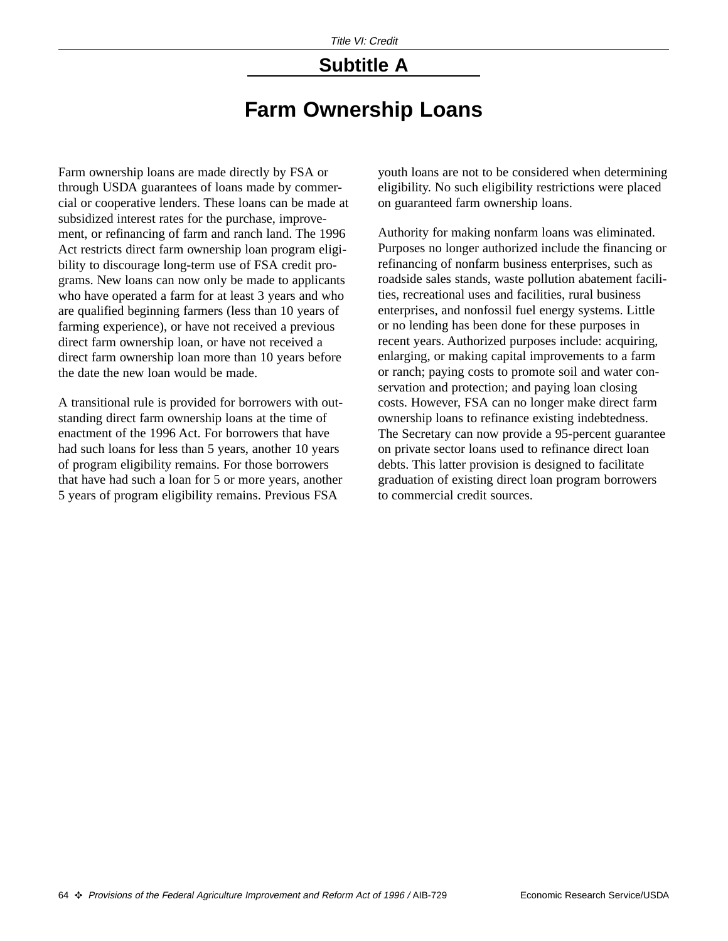### **Subtitle A**

### **Farm Ownership Loans**

Farm ownership loans are made directly by FSA or through USDA guarantees of loans made by commercial or cooperative lenders. These loans can be made at subsidized interest rates for the purchase, improvement, or refinancing of farm and ranch land. The 1996 Act restricts direct farm ownership loan program eligibility to discourage long-term use of FSA credit programs. New loans can now only be made to applicants who have operated a farm for at least 3 years and who are qualified beginning farmers (less than 10 years of farming experience), or have not received a previous direct farm ownership loan, or have not received a direct farm ownership loan more than 10 years before the date the new loan would be made.

A transitional rule is provided for borrowers with outstanding direct farm ownership loans at the time of enactment of the 1996 Act. For borrowers that have had such loans for less than 5 years, another 10 years of program eligibility remains. For those borrowers that have had such a loan for 5 or more years, another 5 years of program eligibility remains. Previous FSA

youth loans are not to be considered when determining eligibility. No such eligibility restrictions were placed on guaranteed farm ownership loans.

Authority for making nonfarm loans was eliminated. Purposes no longer authorized include the financing or refinancing of nonfarm business enterprises, such as roadside sales stands, waste pollution abatement facilities, recreational uses and facilities, rural business enterprises, and nonfossil fuel energy systems. Little or no lending has been done for these purposes in recent years. Authorized purposes include: acquiring, enlarging, or making capital improvements to a farm or ranch; paying costs to promote soil and water conservation and protection; and paying loan closing costs. However, FSA can no longer make direct farm ownership loans to refinance existing indebtedness. The Secretary can now provide a 95-percent guarantee on private sector loans used to refinance direct loan debts. This latter provision is designed to facilitate graduation of existing direct loan program borrowers to commercial credit sources.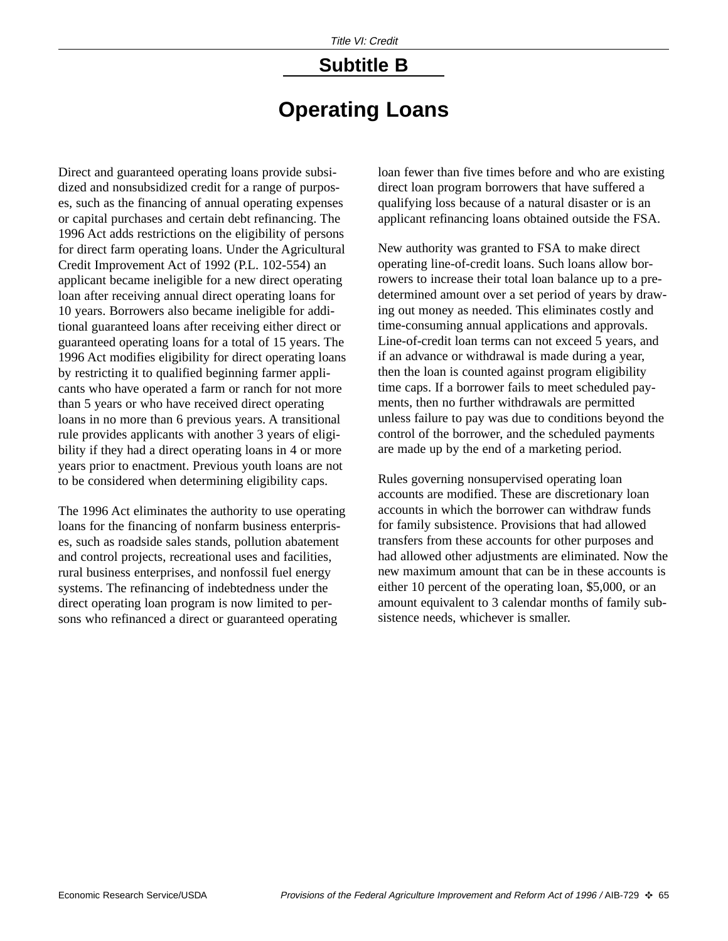# **Subtitle B**

### **Operating Loans**

Direct and guaranteed operating loans provide subsidized and nonsubsidized credit for a range of purposes, such as the financing of annual operating expenses or capital purchases and certain debt refinancing. The 1996 Act adds restrictions on the eligibility of persons for direct farm operating loans. Under the Agricultural Credit Improvement Act of 1992 (P.L. 102-554) an applicant became ineligible for a new direct operating loan after receiving annual direct operating loans for 10 years. Borrowers also became ineligible for additional guaranteed loans after receiving either direct or guaranteed operating loans for a total of 15 years. The 1996 Act modifies eligibility for direct operating loans by restricting it to qualified beginning farmer applicants who have operated a farm or ranch for not more than 5 years or who have received direct operating loans in no more than 6 previous years. A transitional rule provides applicants with another 3 years of eligibility if they had a direct operating loans in 4 or more years prior to enactment. Previous youth loans are not to be considered when determining eligibility caps.

The 1996 Act eliminates the authority to use operating loans for the financing of nonfarm business enterprises, such as roadside sales stands, pollution abatement and control projects, recreational uses and facilities, rural business enterprises, and nonfossil fuel energy systems. The refinancing of indebtedness under the direct operating loan program is now limited to persons who refinanced a direct or guaranteed operating

loan fewer than five times before and who are existing direct loan program borrowers that have suffered a qualifying loss because of a natural disaster or is an applicant refinancing loans obtained outside the FSA.

New authority was granted to FSA to make direct operating line-of-credit loans. Such loans allow borrowers to increase their total loan balance up to a predetermined amount over a set period of years by drawing out money as needed. This eliminates costly and time-consuming annual applications and approvals. Line-of-credit loan terms can not exceed 5 years, and if an advance or withdrawal is made during a year, then the loan is counted against program eligibility time caps. If a borrower fails to meet scheduled payments, then no further withdrawals are permitted unless failure to pay was due to conditions beyond the control of the borrower, and the scheduled payments are made up by the end of a marketing period.

Rules governing nonsupervised operating loan accounts are modified. These are discretionary loan accounts in which the borrower can withdraw funds for family subsistence. Provisions that had allowed transfers from these accounts for other purposes and had allowed other adjustments are eliminated. Now the new maximum amount that can be in these accounts is either 10 percent of the operating loan, \$5,000, or an amount equivalent to 3 calendar months of family subsistence needs, whichever is smaller.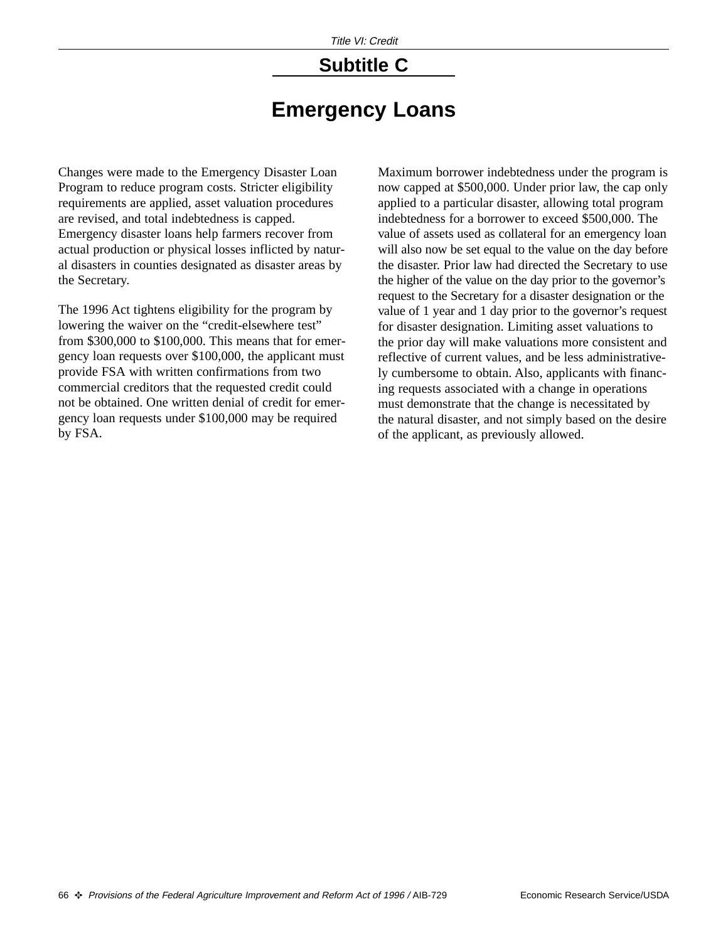# **Subtitle C**

### **Emergency Loans**

Changes were made to the Emergency Disaster Loan Program to reduce program costs. Stricter eligibility requirements are applied, asset valuation procedures are revised, and total indebtedness is capped. Emergency disaster loans help farmers recover from actual production or physical losses inflicted by natural disasters in counties designated as disaster areas by the Secretary.

The 1996 Act tightens eligibility for the program by lowering the waiver on the "credit-elsewhere test" from \$300,000 to \$100,000. This means that for emergency loan requests over \$100,000, the applicant must provide FSA with written confirmations from two commercial creditors that the requested credit could not be obtained. One written denial of credit for emergency loan requests under \$100,000 may be required by FSA.

Maximum borrower indebtedness under the program is now capped at \$500,000. Under prior law, the cap only applied to a particular disaster, allowing total program indebtedness for a borrower to exceed \$500,000. The value of assets used as collateral for an emergency loan will also now be set equal to the value on the day before the disaster. Prior law had directed the Secretary to use the higher of the value on the day prior to the governor's request to the Secretary for a disaster designation or the value of 1 year and 1 day prior to the governor's request for disaster designation. Limiting asset valuations to the prior day will make valuations more consistent and reflective of current values, and be less administratively cumbersome to obtain. Also, applicants with financing requests associated with a change in operations must demonstrate that the change is necessitated by the natural disaster, and not simply based on the desire of the applicant, as previously allowed.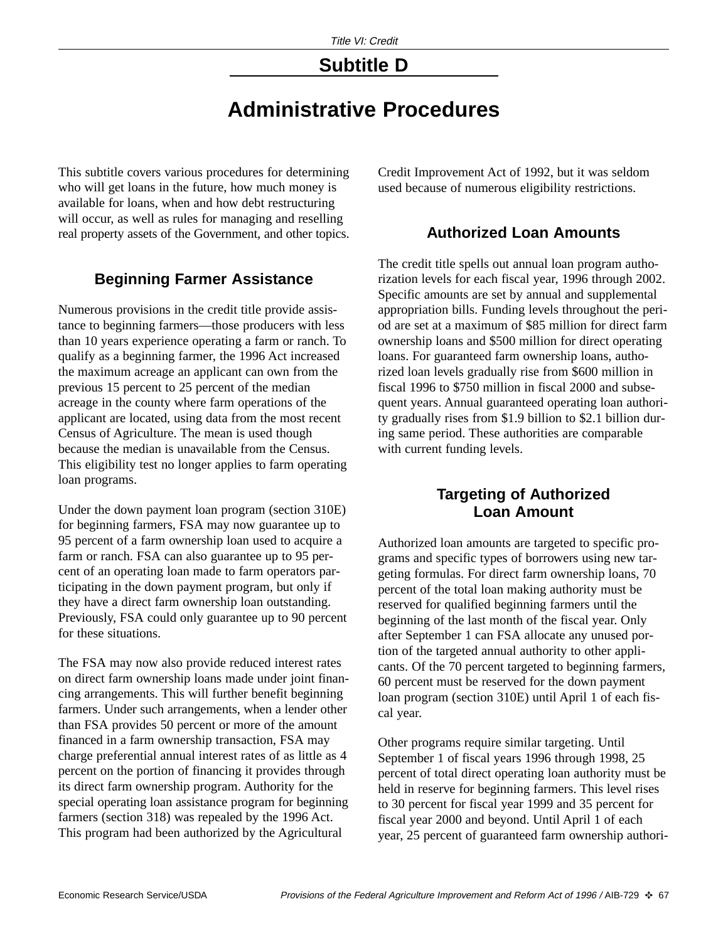### **Subtitle D**

### **Administrative Procedures**

This subtitle covers various procedures for determining who will get loans in the future, how much money is available for loans, when and how debt restructuring will occur, as well as rules for managing and reselling real property assets of the Government, and other topics.

#### **Beginning Farmer Assistance**

Numerous provisions in the credit title provide assistance to beginning farmers—those producers with less than 10 years experience operating a farm or ranch. To qualify as a beginning farmer, the 1996 Act increased the maximum acreage an applicant can own from the previous 15 percent to 25 percent of the median acreage in the county where farm operations of the applicant are located, using data from the most recent Census of Agriculture. The mean is used though because the median is unavailable from the Census. This eligibility test no longer applies to farm operating loan programs.

Under the down payment loan program (section 310E) for beginning farmers, FSA may now guarantee up to 95 percent of a farm ownership loan used to acquire a farm or ranch. FSA can also guarantee up to 95 percent of an operating loan made to farm operators participating in the down payment program, but only if they have a direct farm ownership loan outstanding. Previously, FSA could only guarantee up to 90 percent for these situations.

The FSA may now also provide reduced interest rates on direct farm ownership loans made under joint financing arrangements. This will further benefit beginning farmers. Under such arrangements, when a lender other than FSA provides 50 percent or more of the amount financed in a farm ownership transaction, FSA may charge preferential annual interest rates of as little as 4 percent on the portion of financing it provides through its direct farm ownership program. Authority for the special operating loan assistance program for beginning farmers (section 318) was repealed by the 1996 Act. This program had been authorized by the Agricultural

Credit Improvement Act of 1992, but it was seldom used because of numerous eligibility restrictions.

#### **Authorized Loan Amounts**

The credit title spells out annual loan program authorization levels for each fiscal year, 1996 through 2002. Specific amounts are set by annual and supplemental appropriation bills. Funding levels throughout the period are set at a maximum of \$85 million for direct farm ownership loans and \$500 million for direct operating loans. For guaranteed farm ownership loans, authorized loan levels gradually rise from \$600 million in fiscal 1996 to \$750 million in fiscal 2000 and subsequent years. Annual guaranteed operating loan authority gradually rises from \$1.9 billion to \$2.1 billion during same period. These authorities are comparable with current funding levels.

#### **Targeting of Authorized Loan Amount**

Authorized loan amounts are targeted to specific programs and specific types of borrowers using new targeting formulas. For direct farm ownership loans, 70 percent of the total loan making authority must be reserved for qualified beginning farmers until the beginning of the last month of the fiscal year. Only after September 1 can FSA allocate any unused portion of the targeted annual authority to other applicants. Of the 70 percent targeted to beginning farmers, 60 percent must be reserved for the down payment loan program (section 310E) until April 1 of each fiscal year.

Other programs require similar targeting. Until September 1 of fiscal years 1996 through 1998, 25 percent of total direct operating loan authority must be held in reserve for beginning farmers. This level rises to 30 percent for fiscal year 1999 and 35 percent for fiscal year 2000 and beyond. Until April 1 of each year, 25 percent of guaranteed farm ownership authori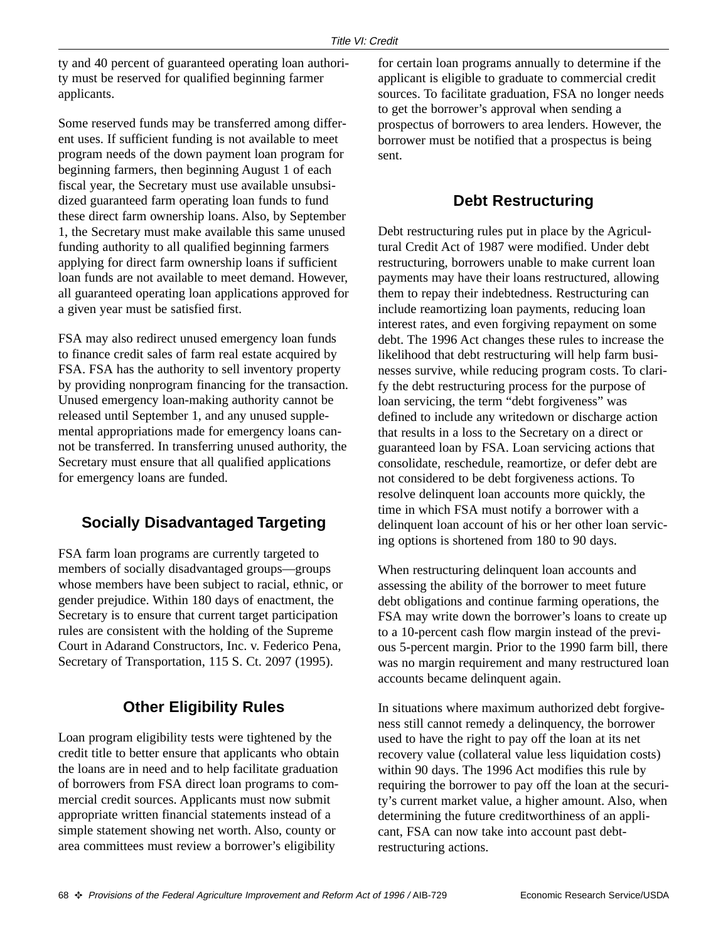ty and 40 percent of guaranteed operating loan authority must be reserved for qualified beginning farmer applicants.

Some reserved funds may be transferred among different uses. If sufficient funding is not available to meet program needs of the down payment loan program for beginning farmers, then beginning August 1 of each fiscal year, the Secretary must use available unsubsidized guaranteed farm operating loan funds to fund these direct farm ownership loans. Also, by September 1, the Secretary must make available this same unused funding authority to all qualified beginning farmers applying for direct farm ownership loans if sufficient loan funds are not available to meet demand. However, all guaranteed operating loan applications approved for a given year must be satisfied first.

FSA may also redirect unused emergency loan funds to finance credit sales of farm real estate acquired by FSA. FSA has the authority to sell inventory property by providing nonprogram financing for the transaction. Unused emergency loan-making authority cannot be released until September 1, and any unused supplemental appropriations made for emergency loans cannot be transferred. In transferring unused authority, the Secretary must ensure that all qualified applications for emergency loans are funded.

#### **Socially Disadvantaged Targeting**

FSA farm loan programs are currently targeted to members of socially disadvantaged groups—groups whose members have been subject to racial, ethnic, or gender prejudice. Within 180 days of enactment, the Secretary is to ensure that current target participation rules are consistent with the holding of the Supreme Court in Adarand Constructors, Inc. v. Federico Pena, Secretary of Transportation, 115 S. Ct. 2097 (1995).

#### **Other Eligibility Rules**

Loan program eligibility tests were tightened by the credit title to better ensure that applicants who obtain the loans are in need and to help facilitate graduation of borrowers from FSA direct loan programs to commercial credit sources. Applicants must now submit appropriate written financial statements instead of a simple statement showing net worth. Also, county or area committees must review a borrower's eligibility

for certain loan programs annually to determine if the applicant is eligible to graduate to commercial credit sources. To facilitate graduation, FSA no longer needs to get the borrower's approval when sending a prospectus of borrowers to area lenders. However, the borrower must be notified that a prospectus is being sent.

#### **Debt Restructuring**

Debt restructuring rules put in place by the Agricultural Credit Act of 1987 were modified. Under debt restructuring, borrowers unable to make current loan payments may have their loans restructured, allowing them to repay their indebtedness. Restructuring can include reamortizing loan payments, reducing loan interest rates, and even forgiving repayment on some debt. The 1996 Act changes these rules to increase the likelihood that debt restructuring will help farm businesses survive, while reducing program costs. To clarify the debt restructuring process for the purpose of loan servicing, the term "debt forgiveness" was defined to include any writedown or discharge action that results in a loss to the Secretary on a direct or guaranteed loan by FSA. Loan servicing actions that consolidate, reschedule, reamortize, or defer debt are not considered to be debt forgiveness actions. To resolve delinquent loan accounts more quickly, the time in which FSA must notify a borrower with a delinquent loan account of his or her other loan servicing options is shortened from 180 to 90 days.

When restructuring delinquent loan accounts and assessing the ability of the borrower to meet future debt obligations and continue farming operations, the FSA may write down the borrower's loans to create up to a 10-percent cash flow margin instead of the previous 5-percent margin. Prior to the 1990 farm bill, there was no margin requirement and many restructured loan accounts became delinquent again.

In situations where maximum authorized debt forgiveness still cannot remedy a delinquency, the borrower used to have the right to pay off the loan at its net recovery value (collateral value less liquidation costs) within 90 days. The 1996 Act modifies this rule by requiring the borrower to pay off the loan at the security's current market value, a higher amount. Also, when determining the future creditworthiness of an applicant, FSA can now take into account past debtrestructuring actions.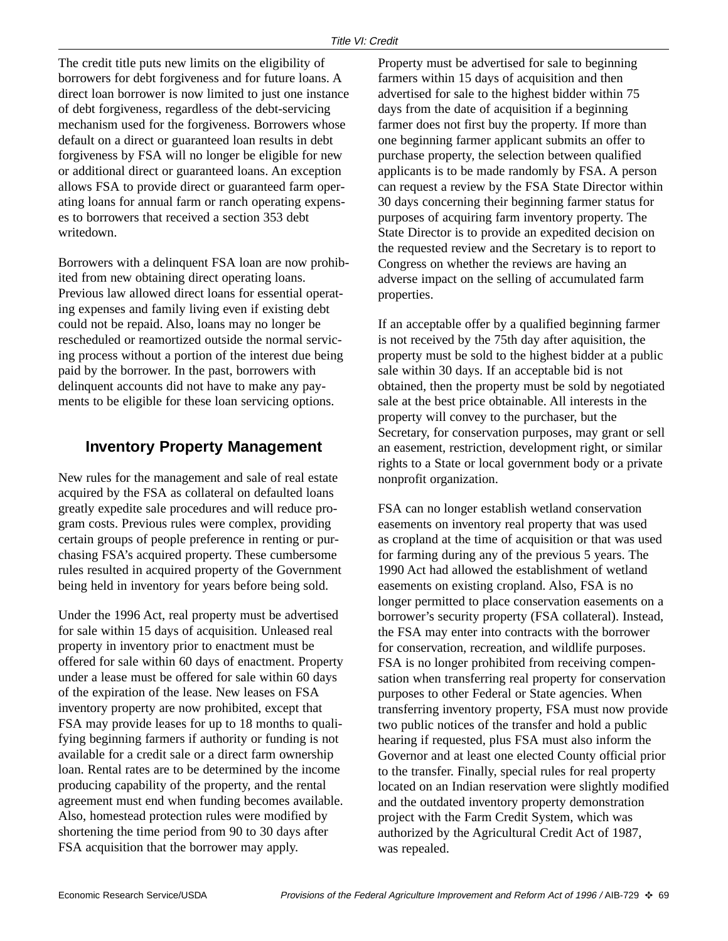The credit title puts new limits on the eligibility of borrowers for debt forgiveness and for future loans. A direct loan borrower is now limited to just one instance of debt forgiveness, regardless of the debt-servicing mechanism used for the forgiveness. Borrowers whose default on a direct or guaranteed loan results in debt forgiveness by FSA will no longer be eligible for new or additional direct or guaranteed loans. An exception allows FSA to provide direct or guaranteed farm operating loans for annual farm or ranch operating expenses to borrowers that received a section 353 debt writedown.

Borrowers with a delinquent FSA loan are now prohibited from new obtaining direct operating loans. Previous law allowed direct loans for essential operating expenses and family living even if existing debt could not be repaid. Also, loans may no longer be rescheduled or reamortized outside the normal servicing process without a portion of the interest due being paid by the borrower. In the past, borrowers with delinquent accounts did not have to make any payments to be eligible for these loan servicing options.

#### **Inventory Property Management**

New rules for the management and sale of real estate acquired by the FSA as collateral on defaulted loans greatly expedite sale procedures and will reduce program costs. Previous rules were complex, providing certain groups of people preference in renting or purchasing FSA's acquired property. These cumbersome rules resulted in acquired property of the Government being held in inventory for years before being sold.

Under the 1996 Act, real property must be advertised for sale within 15 days of acquisition. Unleased real property in inventory prior to enactment must be offered for sale within 60 days of enactment. Property under a lease must be offered for sale within 60 days of the expiration of the lease. New leases on FSA inventory property are now prohibited, except that FSA may provide leases for up to 18 months to qualifying beginning farmers if authority or funding is not available for a credit sale or a direct farm ownership loan. Rental rates are to be determined by the income producing capability of the property, and the rental agreement must end when funding becomes available. Also, homestead protection rules were modified by shortening the time period from 90 to 30 days after FSA acquisition that the borrower may apply.

Property must be advertised for sale to beginning farmers within 15 days of acquisition and then advertised for sale to the highest bidder within 75 days from the date of acquisition if a beginning farmer does not first buy the property. If more than one beginning farmer applicant submits an offer to purchase property, the selection between qualified applicants is to be made randomly by FSA. A person can request a review by the FSA State Director within 30 days concerning their beginning farmer status for purposes of acquiring farm inventory property. The State Director is to provide an expedited decision on the requested review and the Secretary is to report to Congress on whether the reviews are having an adverse impact on the selling of accumulated farm properties.

If an acceptable offer by a qualified beginning farmer is not received by the 75th day after aquisition, the property must be sold to the highest bidder at a public sale within 30 days. If an acceptable bid is not obtained, then the property must be sold by negotiated sale at the best price obtainable. All interests in the property will convey to the purchaser, but the Secretary, for conservation purposes, may grant or sell an easement, restriction, development right, or similar rights to a State or local government body or a private nonprofit organization.

FSA can no longer establish wetland conservation easements on inventory real property that was used as cropland at the time of acquisition or that was used for farming during any of the previous 5 years. The 1990 Act had allowed the establishment of wetland easements on existing cropland. Also, FSA is no longer permitted to place conservation easements on a borrower's security property (FSA collateral). Instead, the FSA may enter into contracts with the borrower for conservation, recreation, and wildlife purposes. FSA is no longer prohibited from receiving compensation when transferring real property for conservation purposes to other Federal or State agencies. When transferring inventory property, FSA must now provide two public notices of the transfer and hold a public hearing if requested, plus FSA must also inform the Governor and at least one elected County official prior to the transfer. Finally, special rules for real property located on an Indian reservation were slightly modified and the outdated inventory property demonstration project with the Farm Credit System, which was authorized by the Agricultural Credit Act of 1987, was repealed.